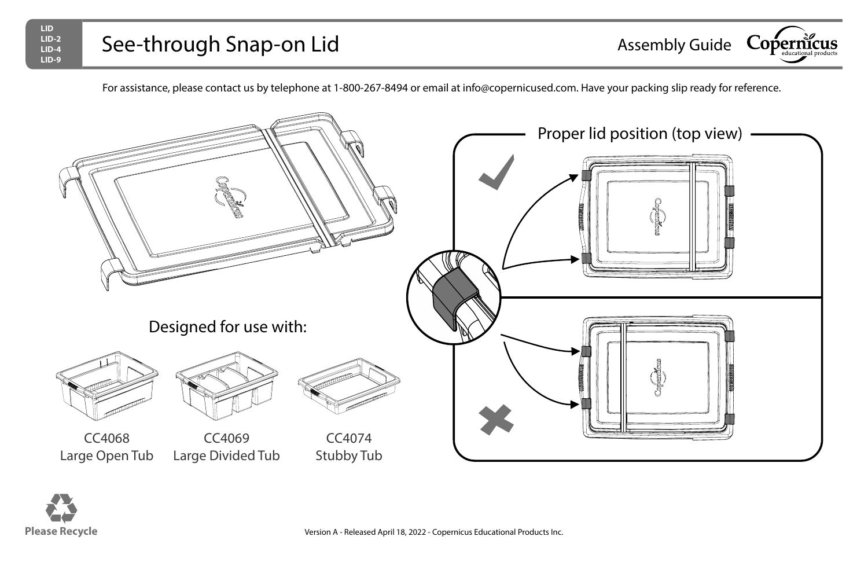For assistance, please contact us by telephone at 1-800-267-8494 or email at info@copernicused.com. Have your packing slip ready for reference.